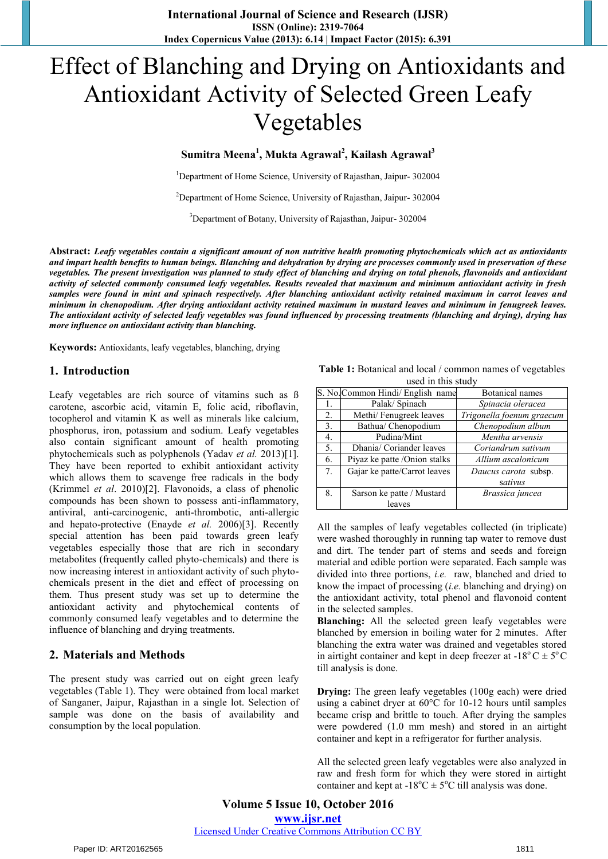# Effect of Blanching and Drying on Antioxidants and Antioxidant Activity of Selected Green Leafy Vegetables

**Sumitra Meena<sup>1</sup> , Mukta Agrawal<sup>2</sup> , Kailash Agrawal<sup>3</sup>**

<sup>1</sup>Department of Home Science, University of Rajasthan, Jaipur- 302004

<sup>2</sup>Department of Home Science, University of Rajasthan, Jaipur- 302004

3 Department of Botany, University of Rajasthan, Jaipur- 302004

**Abstract:** *Leafy vegetables contain a significant amount of non nutritive health promoting phytochemicals which act as antioxidants and impart health benefits to human beings. Blanching and dehydration by drying are processes commonly used in preservation of these vegetables. The present investigation was planned to study effect of blanching and drying on total phenols, flavonoids and antioxidant activity of selected commonly consumed leafy vegetables. Results revealed that maximum and minimum antioxidant activity in fresh samples were found in mint and spinach respectively. After blanching antioxidant activity retained maximum in carrot leaves and minimum in chenopodium. After drying antioxidant activity retained maximum in mustard leaves and minimum in fenugreek leaves. The antioxidant activity of selected leafy vegetables was found influenced by processing treatments (blanching and drying), drying has more influence on antioxidant activity than blanching.* 

**Keywords:** Antioxidants, leafy vegetables, blanching, drying

#### **1. Introduction**

Leafy vegetables are rich source of vitamins such as ß carotene, ascorbic acid, vitamin E, folic acid, riboflavin, tocopherol and vitamin K as well as minerals like calcium, phosphorus, iron, potassium and sodium. Leafy vegetables also contain significant amount of health promoting phytochemicals such as polyphenols (Yadav *et al.* 2013)[1]. They have been reported to exhibit antioxidant activity which allows them to scavenge free radicals in the body (Krimmel *et al*. 2010)[2]. Flavonoids, a class of phenolic compounds has been shown to possess anti-inflammatory, antiviral, anti-carcinogenic, anti-thrombotic, anti-allergic and hepato-protective (Enayde *et al.* 2006)[3]. Recently special attention has been paid towards green leafy vegetables especially those that are rich in secondary metabolites (frequently called phyto-chemicals) and there is now increasing interest in antioxidant activity of such phytochemicals present in the diet and effect of processing on them. Thus present study was set up to determine the antioxidant activity and phytochemical contents of commonly consumed leafy vegetables and to determine the influence of blanching and drying treatments.

### **2. Materials and Methods**

The present study was carried out on eight green leafy vegetables (Table 1). They were obtained from local market of Sanganer, Jaipur, Rajasthan in a single lot. Selection of sample was done on the basis of availability and consumption by the local population.

**Table 1:** Botanical and local / common names of vegetables used in this study

|    | S. No. Common Hindi/ English name | Botanical names           |  |  |  |  |  |  |  |
|----|-----------------------------------|---------------------------|--|--|--|--|--|--|--|
| 1. | Palak/ Spinach                    | Spinacia oleracea         |  |  |  |  |  |  |  |
| 2. | Methi/ Fenugreek leaves           | Trigonella foenum graecum |  |  |  |  |  |  |  |
| 3. | Bathua/ Chenopodium               | Chenopodium album         |  |  |  |  |  |  |  |
| 4. | Pudina/Mint                       | Mentha arvensis           |  |  |  |  |  |  |  |
| 5. | Dhania/ Coriander leaves          | Coriandrum sativum        |  |  |  |  |  |  |  |
| 6. | Piyaz ke patte /Onion stalks      | Allium ascalonicum        |  |  |  |  |  |  |  |
| 7. | Gajar ke patte/Carrot leaves      | Daucus carota subsp.      |  |  |  |  |  |  |  |
|    |                                   | sativus                   |  |  |  |  |  |  |  |
| 8. | Sarson ke patte / Mustard         | Brassica juncea           |  |  |  |  |  |  |  |
|    | leaves                            |                           |  |  |  |  |  |  |  |

All the samples of leafy vegetables collected (in triplicate) were washed thoroughly in running tap water to remove dust and dirt. The tender part of stems and seeds and foreign material and edible portion were separated. Each sample was divided into three portions, *i.e.* raw, blanched and dried to know the impact of processing (*i.e.* blanching and drying) on the antioxidant activity, total phenol and flavonoid content in the selected samples.

**Blanching:** All the selected green leafy vegetables were blanched by emersion in boiling water for 2 minutes. After blanching the extra water was drained and vegetables stored in airtight container and kept in deep freezer at -18<sup>o</sup> C  $\pm$  5<sup>o</sup> C till analysis is done.

**Drying:** The green leafy vegetables (100g each) were dried using a cabinet dryer at 60°C for 10-12 hours until samples became crisp and brittle to touch. After drying the samples were powdered (1.0 mm mesh) and stored in an airtight container and kept in a refrigerator for further analysis.

All the selected green leafy vegetables were also analyzed in raw and fresh form for which they were stored in airtight container and kept at -18°C  $\pm$  5°C till analysis was done.

**Volume 5 Issue 10, October 2016 www.ijsr.net** Licensed Under Creative Commons Attribution CC BY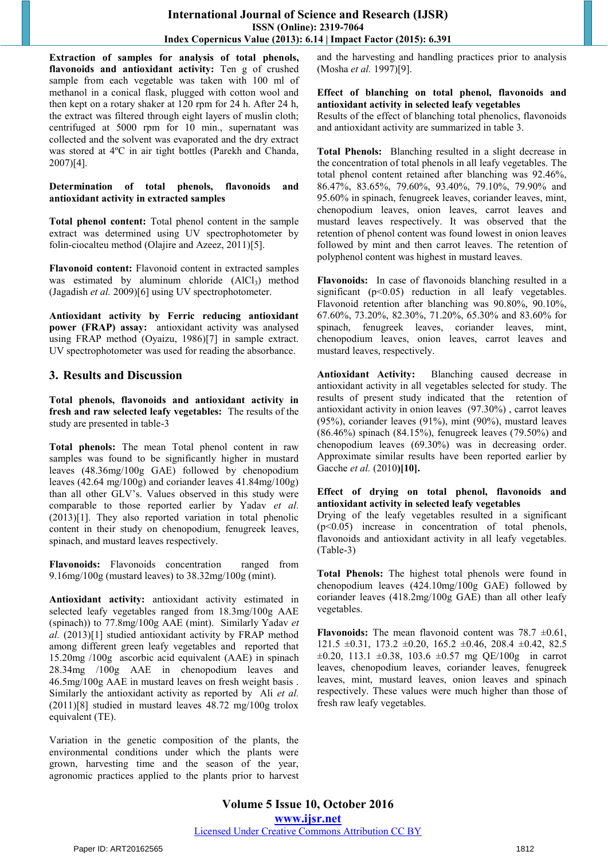**Extraction of samples for analysis of total phenols, flavonoids and antioxidant activity:** Ten g of crushed sample from each vegetable was taken with 100 ml of methanol in a conical flask, plugged with cotton wool and then kept on a rotary shaker at 120 rpm for 24 h. After 24 h, the extract was filtered through eight layers of muslin cloth; centrifuged at 5000 rpm for 10 min., supernatant was collected and the solvent was evaporated and the dry extract was stored at 4ºC in air tight bottles (Parekh and Chanda, 2007)[4].

**Determination of total phenols, flavonoids and antioxidant activity in extracted samples**

**Total phenol content:** Total phenol content in the sample extract was determined using UV spectrophotometer by folin-ciocalteu method (Olajire and Azeez, 2011)[5].

**Flavonoid content:** Flavonoid content in extracted samples was estimated by aluminum chloride  $(AICI<sub>3</sub>)$  method (Jagadish *et al.* 2009)[6] using UV spectrophotometer.

**Antioxidant activity by Ferric reducing antioxidant power (FRAP) assay:** antioxidant activity was analysed using FRAP method (Oyaizu, 1986)[7] in sample extract. UV spectrophotometer was used for reading the absorbance.

## **3. Results and Discussion**

**Total phenols, flavonoids and antioxidant activity in fresh and raw selected leafy vegetables:** The results of the study are presented in table-3

**Total phenols:** The mean Total phenol content in raw samples was found to be significantly higher in mustard leaves (48.36mg/100g GAE) followed by chenopodium leaves (42.64 mg/100g) and coriander leaves 41.84mg/100g) than all other GLV's. Values observed in this study were comparable to those reported earlier by Yadav *et al.* (2013)[1]. They also reported variation in total phenolic content in their study on chenopodium, fenugreek leaves, spinach, and mustard leaves respectively.

**Flavonoids:** Flavonoids concentration ranged from 9.16mg/100g (mustard leaves) to 38.32mg/100g (mint).

**Antioxidant activity:** antioxidant activity estimated in selected leafy vegetables ranged from 18.3mg/100g AAE (spinach)) to 77.8mg/100g AAE (mint). Similarly Yadav *et al.* (2013)[1] studied antioxidant activity by FRAP method among different green leafy vegetables and reported that 15.20mg /100g ascorbic acid equivalent (AAE) in spinach 28.34mg /100g AAE in chenopodium leaves and 46.5mg/100g AAE in mustard leaves on fresh weight basis . Similarly the antioxidant activity as reported by Ali *et al.* (2011)[8] studied in mustard leaves 48.72 mg/100g trolox equivalent (TE).

Variation in the genetic composition of the plants, the environmental conditions under which the plants were grown, harvesting time and the season of the year, agronomic practices applied to the plants prior to harvest and the harvesting and handling practices prior to analysis (Mosha *et al.* 1997)[9].

#### **Effect of blanching on total phenol, flavonoids and antioxidant activity in selected leafy vegetables**

Results of the effect of blanching total phenolics, flavonoids and antioxidant activity are summarized in table 3.

**Total Phenols:** Blanching resulted in a slight decrease in the concentration of total phenols in all leafy vegetables. The total phenol content retained after blanching was 92.46%, 86.47%, 83.65%, 79.60%, 93.40%, 79.10%, 79.90% and 95.60% in spinach, fenugreek leaves, coriander leaves, mint, chenopodium leaves, onion leaves, carrot leaves and mustard leaves respectively. It was observed that the retention of phenol content was found lowest in onion leaves followed by mint and then carrot leaves. The retention of polyphenol content was highest in mustard leaves.

**Flavonoids:** In case of flavonoids blanching resulted in a significant (p<0.05) reduction in all leafy vegetables. Flavonoid retention after blanching was 90.80%, 90.10%, 67.60%, 73.20%, 82.30%, 71.20%, 65.30% and 83.60% for spinach, fenugreek leaves, coriander leaves, mint, chenopodium leaves, onion leaves, carrot leaves and mustard leaves, respectively.

**Antioxidant Activity:** Blanching caused decrease in antioxidant activity in all vegetables selected for study. The results of present study indicated that the retention of antioxidant activity in onion leaves (97.30%) , carrot leaves (95%), coriander leaves (91%), mint (90%), mustard leaves (86.46%) spinach (84.15%), fenugreek leaves (79.50%) and chenopodium leaves (69.30%) was in decreasing order. Approximate similar results have been reported earlier by Gacche *et al.* (2010**)[10].** 

#### **Effect of drying on total phenol, flavonoids and antioxidant activity in selected leafy vegetables**

Drying of the leafy vegetables resulted in a significant (p˂0.05) increase in concentration of total phenols, flavonoids and antioxidant activity in all leafy vegetables. (Table-3)

**Total Phenols:** The highest total phenols were found in chenopodium leaves (424.10mg/100g GAE) followed by coriander leaves (418.2mg/100g GAE) than all other leafy vegetables.

**Flavonoids:** The mean flavonoid content was  $78.7 \pm 0.61$ , 121.5  $\pm 0.31$ , 173.2  $\pm 0.20$ , 165.2  $\pm 0.46$ , 208.4  $\pm 0.42$ , 82.5  $\pm 0.20$ , 113.1  $\pm 0.38$ , 103.6  $\pm 0.57$  mg OE/100g in carrot leaves, chenopodium leaves, coriander leaves, fenugreek leaves, mint, mustard leaves, onion leaves and spinach respectively. These values were much higher than those of fresh raw leafy vegetables.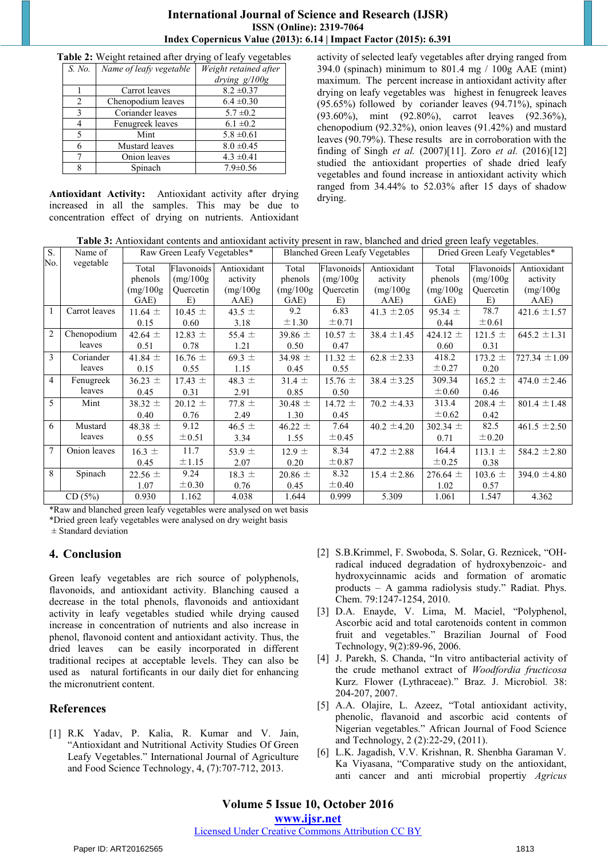## **International Journal of Science and Research (IJSR) ISSN (Online): 2319-7064 Index Copernicus Value (2013): 6.14 | Impact Factor (2015): 6.391**

**Table 2:** Weight retained after drying of leafy vegetables

| S. No.         | Name of leafy vegetable | Weight retained after |  |  |
|----------------|-------------------------|-----------------------|--|--|
|                |                         | drying g/100g         |  |  |
|                | Carrot leaves           | $8.2 \pm 0.37$        |  |  |
| $\mathfrak{D}$ | Chenopodium leaves      | $6.4 \pm 0.30$        |  |  |
| 3              | Coriander leaves        | $5.7 \pm 0.2$         |  |  |
|                | Fenugreek leaves        | $6.1 \pm 0.2$         |  |  |
| 5              | Mint                    | $5.8 \pm 0.61$        |  |  |
| 6              | Mustard leaves          | $8.0 \pm 0.45$        |  |  |
|                | Onion leaves            | $4.3 \pm 0.41$        |  |  |
| 8              | Spinach                 | $7.9 \pm 0.56$        |  |  |

**Antioxidant Activity:** Antioxidant activity after drying increased in all the samples. This may be due to concentration effect of drying on nutrients. Antioxidant activity of selected leafy vegetables after drying ranged from 394.0 (spinach) minimum to 801.4 mg / 100g AAE (mint) maximum. The percent increase in antioxidant activity after drying on leafy vegetables was highest in fenugreek leaves (95.65%) followed by coriander leaves (94.71%), spinach (93.60%), mint (92.80%), carrot leaves (92.36%), chenopodium (92.32%), onion leaves (91.42%) and mustard leaves (90.79%). These results are in corroboration with the finding of Singh *et al.* (2007)[11]. Zoro *et al.* (2016)[12] studied the antioxidant properties of shade dried leafy vegetables and found increase in antioxidant activity which ranged from 34.44% to 52.03% after 15 days of shadow drying.

**Table 3:** Antioxidant contents and antioxidant activity present in raw, blanched and dried green leafy vegetables.

| S.             | Name of       | Raw Green Leafy Vegetables* |             | <b>Blanched Green Leafy Vegetables</b> |             | Dried Green Leafy Vegetables* |                 |              |             |                   |
|----------------|---------------|-----------------------------|-------------|----------------------------------------|-------------|-------------------------------|-----------------|--------------|-------------|-------------------|
| No.            | vegetable     | Total                       | Flavonoids  | Antioxidant                            | Total       | Flavonoids                    | Antioxidant     | Total        | Flavonoids  | Antioxidant       |
|                |               | phenols                     | (mg/100g)   | activity                               | phenols     | (mg/100g)                     | activity        | phenols      | (mg/100g)   | activity          |
|                |               | (mg/100g)                   | Quercetin   | (mg/100g)                              | (mg/100g)   | Quercetin                     | (mg/100g)       | (mg/100g)    | Quercetin   | (mg/100g)         |
|                |               | GAE)                        | E)          | AAE)                                   | GAE)        | E)                            | AAE)            | GAE)         | E)          | AAE)              |
|                | Carrot leaves | 11.64 $\pm$                 | $10.45 \pm$ | 43.5 $\pm$                             | 9.2         | 6.83                          | 41.3 $\pm 2.05$ | $95.34 \pm$  | 78.7        | $421.6 \pm 1.57$  |
|                |               | 0.15                        | 0.60        | 3.18                                   | $\pm 1.30$  | $\pm 0.71$                    |                 | 0.44         | $\pm 0.61$  |                   |
| $\overline{c}$ | Chenopodium   | 42.64 $\pm$                 | 12.83 $\pm$ | 55.4 $\pm$                             | 39.86 $\pm$ | $10.57 \pm$                   | $38.4 \pm 1.45$ | 424.12 $\pm$ | $121.5 \pm$ | $645.2 \pm 1.31$  |
|                | leaves        | 0.51                        | 0.78        | 1.21                                   | 0.50        | 0.47                          |                 | 0.60         | 0.31        |                   |
| 3              | Coriander     | 41.84 $\pm$                 | $16.76 \pm$ | 69.3 $\pm$                             | 34.98 $\pm$ | 11.32 $\pm$                   | $62.8 \pm 2.33$ | 418.2        | $173.2 \pm$ | $727.34 \pm 1.09$ |
|                | leaves        | 0.15                        | 0.55        | 1.15                                   | 0.45        | 0.55                          |                 | $\pm$ 0.27   | 0.20        |                   |
| $\overline{4}$ | Fenugreek     | $36.23 \pm$                 | $17.43 \pm$ | 48.3 $\pm$                             | $31.4 \pm$  | $15.76 \pm$                   | $38.4 \pm 3.25$ | 309.34       | $165.2 \pm$ | 474.0 $\pm$ 2.46  |
|                | leaves        | 0.45                        | 0.31        | 2.91                                   | 0.85        | 0.50                          |                 | $\pm 0.60$   | 0.46        |                   |
| 5              | Mint          | 38.32 $\pm$                 | $20.12 \pm$ | 77.8 $\pm$                             | $30.48 \pm$ | 14.72 $\pm$                   | $70.2 \pm 4.33$ | 313.4        | $208.4 \pm$ | $801.4 \pm 1.48$  |
|                |               | 0.40                        | 0.76        | 2.49                                   | 1.30        | 0.45                          |                 | $\pm 0.62$   | 0.42        |                   |
| 6              | Mustard       | 48.38 $\pm$                 | 9.12        | 46.5 $\pm$                             | 46.22 $\pm$ | 7.64                          | $40.2 \pm 4.20$ | 302.34 $\pm$ | 82.5        | $461.5 \pm 2.50$  |
|                | leaves        | 0.55                        | $\pm 0.51$  | 3.34                                   | 1.55        | ± 0.45                        |                 | 0.71         | $\pm 0.20$  |                   |
| 7              | Onion leaves  | $16.3 \pm$                  | 11.7        | 53.9 $\pm$                             | $12.9 \pm$  | 8.34                          | 47.2 $\pm 2.88$ | 164.4        | 113.1 $\pm$ | 584.2 $\pm 2.80$  |
|                |               | 0.45                        | ±1.15       | 2.07                                   | 0.20        | ±0.87                         |                 | $\pm 0.25$   | 0.38        |                   |
| 8              | Spinach       | $22.56 \pm$                 | 9.24        | $18.3 \pm$                             | $20.86 \pm$ | 8.32                          | $15.4 \pm 2.86$ | $276.64 \pm$ | $103.6 \pm$ | 394.0 $\pm$ 4.80  |
|                |               | 1.07                        | $\pm 0.30$  | 0.76                                   | 0.45        | $\pm 0.40$                    |                 | 1.02         | 0.57        |                   |
| CD(5%)         |               | 0.930                       | 1.162       | 4.038                                  | 1.644       | 0.999                         | 5.309           | 1.061        | 1.547       | 4.362             |

\*Raw and blanched green leafy vegetables were analysed on wet basis \*Dried green leafy vegetables were analysed on dry weight basis

 $±$  Standard deviation

## **4. Conclusion**

Green leafy vegetables are rich source of polyphenols, flavonoids, and antioxidant activity. Blanching caused a decrease in the total phenols, flavonoids and antioxidant activity in leafy vegetables studied while drying caused increase in concentration of nutrients and also increase in phenol, flavonoid content and antioxidant activity. Thus, the dried leaves can be easily incorporated in different traditional recipes at acceptable levels. They can also be used as natural fortificants in our daily diet for enhancing the micronutrient content.

# **References**

[1] R.K Yadav, P. Kalia, R. Kumar and V. Jain, "Antioxidant and Nutritional Activity Studies Of Green Leafy Vegetables." International Journal of Agriculture and Food Science Technology, 4, (7):707-712, 2013.

- [2] S.B.Krimmel, F. Swoboda, S. Solar, G. Reznicek, "OHradical induced degradation of hydroxybenzoic- and hydroxycinnamic acids and formation of aromatic products – A gamma radiolysis study." Radiat. Phys. Chem. 79:1247-1254, 2010.
- [3] D.A. Enayde, V. Lima, M. Maciel, "Polyphenol, Ascorbic acid and total carotenoids content in common fruit and vegetables." Brazilian Journal of Food Technology, 9(2):89-96, 2006.
- [4] J. Parekh, S. Chanda, "In vitro antibacterial activity of the crude methanol extract of *Woodfordia fructicosa*  Kurz. Flower (Lythraceae)." Braz. J. Microbiol*.* 38: 204-207, 2007.
- [5] A.A. Olajire, L. Azeez, "Total antioxidant activity, phenolic, flavanoid and ascorbic acid contents of Nigerian vegetables." African Journal of Food Science and Technology, 2 (2):22-29, (2011).
- [6] L.K. Jagadish, V.V. Krishnan, R. Shenbha Garaman V. Ka Viyasana, "Comparative study on the antioxidant, anti cancer and anti microbial propertiy *Agricus*